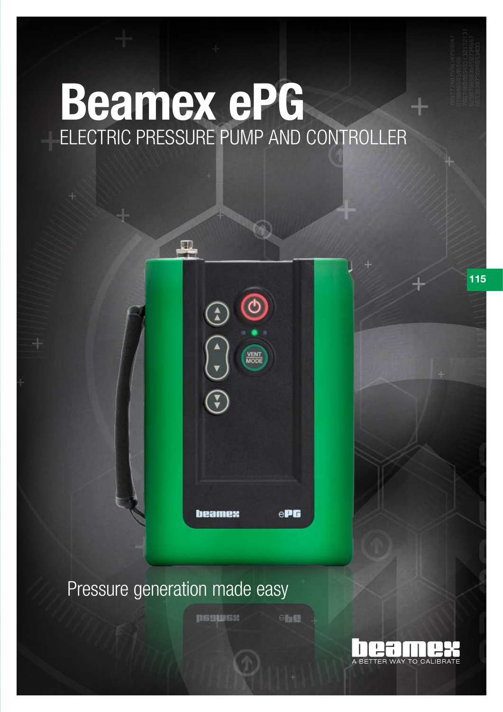# Beamex ePG ELECTRIC PRESSURE PUMP AND CONTROLLER



### Pressure generation made easy

psswsx

 $6<sub>th</sub>$ 



115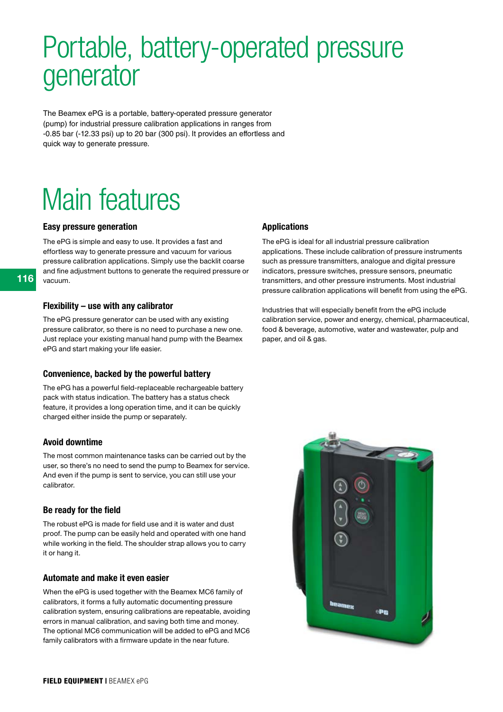# Portable, battery-operated pressure generator

The Beamex ePG is a portable, battery-operated pressure generator (pump) for industrial pressure calibration applications in ranges from -0.85 bar (-12.33 psi) up to 20 bar (300 psi). It provides an effortless and quick way to generate pressure.

# Main features

#### Easy pressure generation

The ePG is simple and easy to use. It provides a fast and effortless way to generate pressure and vacuum for various pressure calibration applications. Simply use the backlit coarse and fine adjustment buttons to generate the required pressure or vacuum.

#### Flexibility – use with any calibrator

The ePG pressure generator can be used with any existing pressure calibrator, so there is no need to purchase a new one. Just replace your existing manual hand pump with the Beamex ePG and start making your life easier.

### Convenience, backed by the powerful battery

The ePG has a powerful field-replaceable rechargeable battery pack with status indication. The battery has a status check feature, it provides a long operation time, and it can be quickly charged either inside the pump or separately.

### Avoid downtime

The most common maintenance tasks can be carried out by the user, so there's no need to send the pump to Beamex for service. And even if the pump is sent to service, you can still use your calibrator.

#### Be ready for the field

The robust ePG is made for field use and it is water and dust proof. The pump can be easily held and operated with one hand while working in the field. The shoulder strap allows you to carry it or hang it.

### Automate and make it even easier

When the ePG is used together with the Beamex MC6 family of calibrators, it forms a fully automatic documenting pressure calibration system, ensuring calibrations are repeatable, avoiding errors in manual calibration, and saving both time and money. The optional MC6 communication will be added to ePG and MC6 family calibrators with a firmware update in the near future.

### Applications

The ePG is ideal for all industrial pressure calibration applications. These include calibration of pressure instruments such as pressure transmitters, analogue and digital pressure indicators, pressure switches, pressure sensors, pneumatic transmitters, and other pressure instruments. Most industrial pressure calibration applications will benefit from using the ePG.

Industries that will especially benefit from the ePG include calibration service, power and energy, chemical, pharmaceutical, food & beverage, automotive, water and wastewater, pulp and paper, and oil & gas.

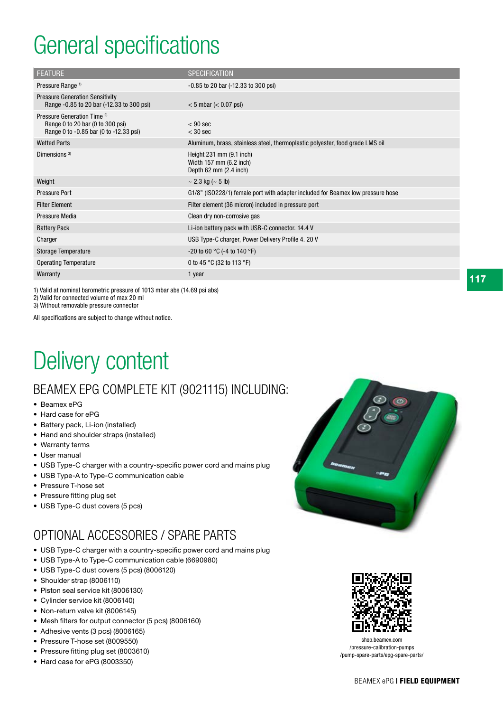## General specifications

| <b>FEATURE</b>                                                                                                       | <b>SPECIFICATION</b>                                                            |
|----------------------------------------------------------------------------------------------------------------------|---------------------------------------------------------------------------------|
| Pressure Range <sup>1)</sup>                                                                                         | $-0.85$ to 20 bar $(-12.33$ to 300 psi)                                         |
| <b>Pressure Generation Sensitivity</b><br>Range -0.85 to 20 bar (-12.33 to 300 psi)                                  | $< 5$ mbar ( $< 0.07$ psi)                                                      |
| Pressure Generation Time <sup>2)</sup><br>Range 0 to 20 bar (0 to 300 psi)<br>Range 0 to -0.85 bar (0 to -12.33 psi) | $< 90$ sec<br>$<$ 30 sec                                                        |
| <b>Wetted Parts</b>                                                                                                  | Aluminum, brass, stainless steel, thermoplastic polyester, food grade LMS oil   |
| Dimensions $3)$                                                                                                      | Height 231 mm (9.1 inch)<br>Width 157 mm (6.2 inch)<br>Depth 62 mm (2.4 inch)   |
| Weight                                                                                                               | $\sim$ 2.3 kg ( $\sim$ 5 lb)                                                    |
| <b>Pressure Port</b>                                                                                                 | G1/8" (ISO228/1) female port with adapter included for Beamex low pressure hose |
| <b>Filter Element</b>                                                                                                | Filter element (36 micron) included in pressure port                            |
| Pressure Media                                                                                                       | Clean dry non-corrosive gas                                                     |
| <b>Battery Pack</b>                                                                                                  | Li-ion battery pack with USB-C connector. 14.4 V                                |
| Charger                                                                                                              | USB Type-C charger, Power Delivery Profile 4. 20 V                              |
| Storage Temperature                                                                                                  | -20 to 60 °C (-4 to 140 °F)                                                     |
| <b>Operating Temperature</b>                                                                                         | 0 to 45 °C (32 to 113 °F)                                                       |
| Warranty                                                                                                             | 1 year                                                                          |

1) Valid at nominal barometric pressure of 1013 mbar abs (14.69 psi abs) 2) Valid for connected volume of max 20 ml

3) Without removable pressure connector

All specifications are subject to change without notice.

## Delivery content

### BEAMEX EPG COMPLETE KIT (9021115) INCLUDING:

- Beamex ePG
- Hard case for ePG
- Battery pack, Li-ion (installed)
- Hand and shoulder straps (installed)
- Warranty terms
- User manual
- USB Type-C charger with a country-specific power cord and mains plug
- USB Type-A to Type-C communication cable
- Pressure T-hose set
- Pressure fitting plug set
- USB Type-C dust covers (5 pcs)

### OPTIONAL ACCESSORIES / SPARE PARTS

- USB Type-C charger with a country-specific power cord and mains plug
- USB Type-A to Type-C communication cable (6690980)
- USB Type-C dust covers (5 pcs) (8006120)
- Shoulder strap (8006110)
- Piston seal service kit (8006130)
- Cylinder service kit (8006140)
- Non-return valve kit (8006145)
- Mesh filters for output connector (5 pcs) (8006160)
- Adhesive vents (3 pcs) (8006165)
- Pressure T-hose set (8009550)
- Pressure fitting plug set (8003610)
- Hard case for ePG (8003350)